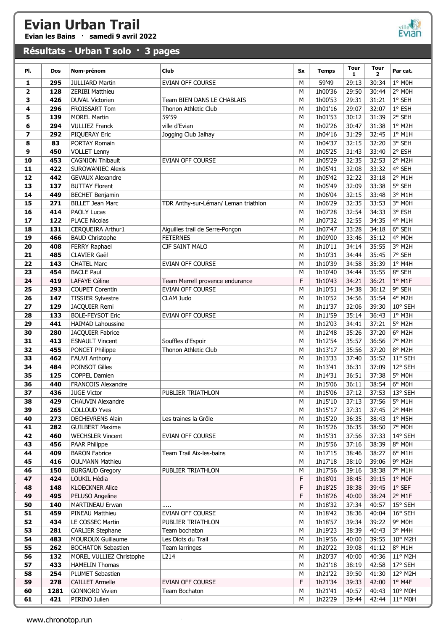Evian les Bains · samedi 9 avril 2022

# ville **Ville**

#### Résultats - Urban T solo · 3 pages

| PI.                     | Dos        | Nom-prénom                                     | Club                                 | <b>Sx</b> | <b>Temps</b>       | <b>Tour</b><br>1. | <b>Tour</b><br>$\mathbf{2}$ | Par cat.                    |
|-------------------------|------------|------------------------------------------------|--------------------------------------|-----------|--------------------|-------------------|-----------------------------|-----------------------------|
| 1                       | 295        | <b>JULLIARD Martin</b>                         | EVIAN OFF COURSE                     | М         | 59'49              | 29:13             | 30:34                       | $1°$ MOH                    |
| $\overline{\mathbf{2}}$ | 128        | ZERIBI Matthieu                                |                                      | M         | 1h00'36            | 29:50             | 30:44                       | $2°$ MOH                    |
| 3                       | 426        | <b>DUVAL Victorien</b>                         | Team BIEN DANS LE CHABLAIS           | M         | 1h00'53            | 29:31             | 31:21                       | $1°$ SEH                    |
| 4                       | 296        | FROISSART Tom                                  | Thonon Athletic Club                 | M         | 1h01'16            | 29:07             | 32:07                       | 1° ESH                      |
| 5                       | 139        | <b>MOREL Martin</b>                            | 59'59                                | M         | 1h01'53            | 30:12             | 31:39                       | 2° SEH                      |
| 6                       | 294        | <b>VULLIEZ Franck</b>                          | ville d'Evian                        | M         | 1h02'26            | 30:47             | 31:38                       | 1° M2H                      |
| 7                       | 292        | PIQUERAY Eric                                  | Jogging Club Jalhay                  | M         | 1h04'16            | 31:29             | 32:45                       | $1^\circ$ M1H               |
| 8                       | 83         | PORTAY Romain                                  |                                      | M<br>M    | 1h04'37            | 32:15             | 32:20                       | 3° SEH<br>2° ESH            |
| 9<br>10                 | 450<br>453 | <b>VOLLET Lenny</b><br><b>CAGNION Thibault</b> | <b>EVIAN OFF COURSE</b>              | M         | 1h05'25<br>1h05'29 | 31:43<br>32:35    | 33:40<br>32:53              | $2°$ M <sub>2</sub> H       |
| 11                      | 422        | <b>SUROWANIEC Alexis</b>                       |                                      | M         | 1h05'41            | 32:08             | 33:32                       | 4° SEH                      |
| 12                      | 442        | <b>GEVAUX Alexandre</b>                        |                                      | M         | 1h05'42            | 32:22             | 33:18                       | 2° M1H                      |
| 13                      | 137        | <b>BUTTAY Florent</b>                          |                                      | M         | 1h05'49            | 32:09             | 33:38                       | 5° SEH                      |
| 14                      | 449        | <b>BECHET Benjamin</b>                         |                                      | M         | 1h06'04            | 32:15             | 33:48                       | 3° M1H                      |
| 15                      | 271        | <b>BILLET Jean Marc</b>                        | TDR Anthy-sur-Léman/ Leman triathlon | M         | 1h06'29            | 32:35             | 33:53                       | 3° MOH                      |
| 16                      | 414        | <b>PAOLY Lucas</b>                             |                                      | M         | 1h07'28            | 32:54             | 34:33                       | 3° ESH                      |
| 17                      | 122        | <b>PLACE Nicolas</b>                           |                                      | М         | 1h07'32            | 32:55             | 34:35                       | 4° M1H                      |
| 18                      | 131        | CERQUEIRA Arthur1                              | Aiguilles trail de Serre-Ponçon      | М         | 1h07'47            | 33:28             | 34:18                       | 6° SEH                      |
| 19                      | 466        | <b>BAUD Christophe</b>                         | <b>FETERNES</b>                      | M         | 1h09'00            | 33:46             | 35:12                       | 4° M0H                      |
| 20                      | 408        | FERRY Raphael                                  | CJF SAINT MALO                       | M         | 1h10'11            | 34:14             | 35:55                       | 3° M2H                      |
| 21                      | 485        | CLAVIER Gaël                                   |                                      | M         | 1h10'31            | 34:44             | 35:45                       | 7° SEH                      |
| 22                      | 143        | <b>CHATEL Marc</b><br><b>BACLE Paul</b>        | EVIAN OFF COURSE                     | М         | 1h10'39            | 34:58             | 35:39                       | 1° M4H<br>8° SEH            |
| 23<br>24                | 454<br>419 | <b>LAFAYE Céline</b>                           | Team Merrell provence endurance      | М<br>F    | 1h10'40<br>1h10'43 | 34:44<br>34:21    | 35:55<br>36:21              | $1°$ M1F                    |
| 25                      | 293        | <b>COUPET Corentin</b>                         | EVIAN OFF COURSE                     | M         | 1h10'51            | 34:38             | 36:12                       | 9° SEH                      |
| 26                      | 147        | <b>TISSIER Sylvestre</b>                       | CLAM Judo                            | M         | 1h10'52            | 34:56             | 35:54                       | $4°$ M2H                    |
| 27                      | 129        | JACQUIER Remi                                  |                                      | M         | 1h11'37            | 32:06             | 39:30                       | 10° SEH                     |
| 28                      | 133        | <b>BOLE-FEYSOT Eric</b>                        | EVIAN OFF COURSE                     | M         | 1h11'59            | 35:14             | 36:43                       | 1° M3H                      |
| 29                      | 441        | <b>HAIMAD Lahoussine</b>                       |                                      | M         | 1h12'03            | 34:41             | 37:21                       | $5°$ M <sub>2</sub> H       |
| 30                      | 280        | JACQUIER Fabrice                               |                                      | M         | 1h12'48            | 35:26             | 37:20                       | 6° M2H                      |
| 31                      | 413        | <b>ESNAULT Vincent</b>                         | Souffles d'Espoir                    | М         | 1h12'54            | 35:57             | 36:56                       | 7° M2H                      |
| 32                      | 455        | PONCET Philippe                                | Thonon Athletic Club                 | M         | 1h13'17            | 35:56             | 37:20                       | 8° M2H                      |
| 33                      | 462        | <b>FAUVI Anthony</b>                           |                                      | M         | 1h13'33            | 37:40             | 35:52                       | 11° SEH                     |
| 34                      | 484        | POINSOT Gilles                                 |                                      | M         | 1h13'41            | 36:31             | 37:09                       | 12° SEH                     |
| 35<br>36                | 125<br>440 | COPPEL Damien<br>FRANCOIS Alexandre            |                                      | M<br>M    | 1h14'31<br>1h15'06 | 36:51<br>36:11    | 37:38<br>38:54              | 5° MOH<br>6° MOH            |
| 37                      | 436        | <b>JUGE Victor</b>                             | PUBLIER TRIATHLON                    | M         | 1h15'06            | 37:12             | 37:53                       | 13° SEH                     |
| 38                      | 429        | CHAUVIN Alexandre                              |                                      | м         | 1h15'10            | 37:13             | 37:56                       | 5° M1H                      |
| 39                      | 265        | <b>COLLOUD Yves</b>                            |                                      | М         | 1h15'17            | 37:31             | 37:45                       | 2° M4H                      |
| 40                      | 273        | <b>DECHEVRENS Alain</b>                        | Les traines la Grôle                 | М         | 1h15'20            | 36:35             | 38:43                       | $1°$ M5H                    |
| 41                      | 282        | <b>GUILBERT Maxime</b>                         |                                      | м         | 1h15'26            | 36:35             | 38:50                       | 7° MOH                      |
| 42                      | 460        | <b>WECHSLER Vincent</b>                        | EVIAN OFF COURSE                     | м         | 1h15'31            | 37:56             | 37:33                       | 14° SEH                     |
| 43                      | 456        | PAAR Philippe                                  |                                      | м         | 1h15'56            | 37:16             | 38:39                       | 8° MOH                      |
| 44                      | 409        | <b>BARON Fabrice</b>                           | Team Trail Aix-les-bains             | м         | 1h17'15            | 38:46             | 38:27                       | $6^{\circ}$ M1H             |
| 45                      | 416        | <b>OULMANN Mathieu</b>                         |                                      | м         | 1h17'18            | 38:10             | 39:06                       | 9° M2H                      |
| 46                      | 150        | <b>BURGAUD Gregory</b>                         | PUBLIER TRIATHLON                    | М         | 1h17'56            | 39:16             | 38:38                       | 7° M1H                      |
| 47<br>48                | 424<br>148 | LOUKIL Hédia<br><b>KLOECKNER Alice</b>         |                                      | F<br>F    | 1h18'01<br>1h18'25 | 38:45<br>38:38    | 39:15<br>39:45              | $1°$ MOF<br>$1^{\circ}$ SEF |
| 49                      | 495        | PELUSO Angeline                                |                                      | F         | 1h18'26            | 40:00             | 38:24                       | $2°$ M1F                    |
| 50                      | 140        | <b>MARTINEAU Erwan</b>                         |                                      | M         | 1h18'32            | 37:34             | 40:57                       | 15° SEH                     |
| 51                      | 459        | PINEAU Matthieu                                | EVIAN OFF COURSE                     | М         | 1h18'42            | 38:36             | 40:04                       | 16° SEH                     |
| 52                      | 434        | LE COSSEC Martin                               | PUBLIER TRIATHLON                    | M         | 1h18'57            | 39:34             | 39:22                       | 9° MOH                      |
| 53                      | 281        | <b>CARLIER Stephane</b>                        | Team bochaton                        | м         | 1h19'23            | 38:39             | 40:43                       | 3° M4H                      |
| 54                      | 483        | <b>MOUROUX Guillaume</b>                       | Les Diots du Trail                   | м         | 1h19'56            | 40:00             | 39:55                       | 10° M2H                     |
| 55                      | 262        | <b>BOCHATON Sebastien</b>                      | Team larringes                       | м         | 1h20'22            | 39:08             | 41:12                       | 8° M1H                      |
| 56                      | 132        | MOREL VULLIEZ Christophe                       | L214                                 | м         | 1h20'37            | 40:00             | 40:36                       | 11° M2H                     |
| 57                      | 433        | <b>HAMELIN Thomas</b>                          |                                      | м         | 1h21'18            | 38:19             | 42:58                       | 17° SEH                     |
| 58                      | 254        | PLUMET Sebastien                               |                                      | М         | 1h21'22            | 39:50             | 41:30                       | 12° M2H                     |
| 59                      | 278        | <b>CAILLET Armelle</b>                         | <b>EVIAN OFF COURSE</b>              | F         | 1h21'34            | 39:33             | 42:00                       | $1°$ M4F                    |
| 60                      | 1281       | <b>GONNORD Vivien</b>                          | Team Bochaton                        | M         | 1h21'41            | 40:57             | 40:43                       | 10° M0H                     |
| 61                      | 421        | PERINO Julien                                  |                                      | м         | 1h22'29            | 39:44             | 42:44                       | 11° M0H                     |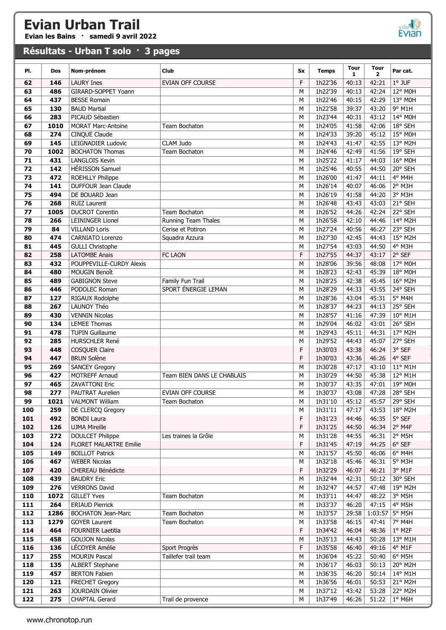Evian les Bains · samedi 9 avril 2022

#### Résultats - Urban T solo · 3 pages



| PI.        | Dos          | Nom-prénom                                        | Club                           | Sx     | <b>Temps</b>       | <b>Tour</b>    | <b>Tour</b>      | Par cat.           |
|------------|--------------|---------------------------------------------------|--------------------------------|--------|--------------------|----------------|------------------|--------------------|
|            |              |                                                   |                                | F      |                    | 1.             | $\overline{2}$   | $1°$ JUF           |
| 62<br>63   | 146<br>486   | <b>LAURY Ines</b><br>GIRARD-SOPPET Yoann          | <b>EVIAN OFF COURSE</b>        | M      | 1h22'36<br>1h22'39 | 40:13<br>40:13 | 42:21<br>42:24   | 12° M0H            |
| 64         | 437          | <b>BESSE Romain</b>                               |                                | M      | 1h22'46            | 40:15          | 42:29            | 13° M0H            |
| 65         | 130          | <b>BAUD Martial</b>                               |                                | M      | 1h22'58            | 39:37          | 43:20            | 9° M1H             |
| 66         | 283          | PICAUD Sébastien                                  |                                | M      | 1h23'44            | 40:31          | 43:12            | 14° M0H            |
| 67         | 1010         | <b>MORAT Marc-Antoine</b>                         | Team Bochaton                  | M      | 1h24'05            | 41:58          | 42:06            | 18° SEH            |
| 68         | 274          | CINQUE Claude                                     |                                | M      | 1h24'33            | 39:20          | 45:12            | 15° M0H            |
| 69         | 145          | LEIGNADIER Ludovic                                | CLAM Judo                      | М      | 1h24'43            | 41:47          | 42:55            | 13° M2H            |
| 70         | 1002         | <b>BOCHATON Thomas</b>                            | Team Bochaton                  | M      | 1h24'46            | 42:49          | 41:56            | 19° SEH            |
| 71         | 431          | <b>LANGLOIS Kevin</b>                             |                                | M      | 1h25'22            | 41:17          | 44:03            | 16° M0H            |
| 72         | 142          | <b>HÉRISSON Samuel</b>                            |                                | M      | 1h25'46            | 40:55          | 44:50            | 20° SEH            |
| 73         | 472          | ROEHLLY Philippe                                  |                                | M      | 1h26'00            | 41:47          | 44:11            | 4° M4H             |
| 74         | 141          | DUFFOUR Jean Claude                               |                                | M      | 1h26'14            | 40:07          | 46:06            | 2° M3H             |
| 75         | 494          | DE BOUARD Jean                                    |                                | M      | 1h26'19            | 41:58          | 44:20            | 3° M3H             |
| 76         | 268          | <b>RUIZ Laurent</b>                               |                                | M      | 1h26'48            | 43:43          | 43:03            | 21° SEH            |
| 77         | 1005         | <b>DUCROT Corentin</b>                            | Team Bochaton                  | M      | 1h26'52            | 44:26          | 42:24            | 22° SEH            |
| 78         | 266          | LEININGER Lionel                                  | <b>Running Team Thales</b>     | M      | 1h26'58            | 42:10          | 44:46            | 14° M2H            |
| 79         | 84           | <b>VILLAND Loris</b>                              | Cerise et Potiron              | M      | 1h27'24            | 40:56          | 46:27            | 23° SEH            |
| 80         | 474          | CARNIATO Lorenzo                                  | Squadra Azzura                 | M      | 1h27'30            | 42:45          | 44:43            | 15° M2H            |
| 81         | 445          | <b>GULLI Christophe</b>                           |                                | М      | 1h27'54            | 43:03          | 44:50            | 4° M3H             |
| 82         | 258          | <b>LATOMBE Anais</b>                              | FC LAON                        | F      | 1h27'55            | 44:37          | 43:17            | 2° SEF             |
| 83         | 432          | POUPPEVILLE-CURDY Alexis                          |                                | M      | 1h28'06            | 39:56          | 48:08            | 17° M0H            |
| 84         | 480          | <b>MOUGIN Benoît</b>                              |                                | M      | 1h28'23            | 42:43          | 45:39            | 18° M0H            |
| 85         | 489          | <b>GABIGNON Steve</b>                             | Family Fun Trail               | M      | 1h28'25            | 42:38          | 45:45            | 16° M2H            |
| 86         | 446          | PODOLEC Roman                                     | SPORT ÉNERGIE LEMAN            | M      | 1h28'29            | 44:33          | 43:55            | 24° SEH            |
| 87         | 127          | RIGAUX Rodolphe                                   |                                | M      | 1h28'36            | 43:04          | 45:31            | 5° M4H             |
| 88         | 267          | LAUNOY Théo                                       |                                | M      | 1h28'37            | 44:23          | 44:13            | 25° SEH            |
| 89         | 430          | <b>VENNIN Nicolas</b>                             |                                | M      | 1h28'57            | 41:16          | 47:39            | 10° M1H            |
| 90         | 134          | LEMEE Thomas                                      |                                | M      | 1h29'04            | 46:02          | 43:01            | 26° SEH            |
| 91<br>92   | 478<br>285   | <b>TUPIN Guillaume</b><br>HURSCHLER René          |                                | M<br>M | 1h29'43<br>1h29'52 | 45:11<br>44:43 | 44:31<br>45:07   | 17° M2H<br>27° SEH |
| 93         | 448          | COSQUER Claire                                    |                                | F      | 1h30'03            | 43:38          | 46:24            | 3° SEF             |
| 94         | 447          | <b>BRUN Solène</b>                                |                                | F      | 1h30'03            | 43:36          | 46:26            | 4° SEF             |
| 95         | 269          | <b>SANCEY Gregory</b>                             |                                | M      | 1h30'28            | 47:17          | 43:10            | 11° M1H            |
| 96         | 427          | MOTREFF Arnaud                                    | Team BIEN DANS LE CHABLAIS     | M      | 1h30'29            | 44:50          | 45:38            | 12° M1H            |
| 97         | 465          | <b>ZAVATTONI Eric</b>                             |                                | M      | 1h30'37            | 43:35          | 47:01            | 19° M0H            |
| 98         | 277          | <b>PAUTRAT Aurelien</b>                           | EVIAN OFF COURSE               | M      | 1h30'37            | 43:08          |                  | 47:28 28° SEH      |
| 99         | 1021         | <b>VALMONT William</b>                            | Team Bochaton                  | М      | 1h31'10            | 45:12          | 45:57            | 29° SEH            |
| 100        | 259          | DE CLERCQ Gregory                                 |                                | М      | 1h31'11            | 47:17          | 43:53            | $18^{\circ}$ M2H   |
| 101        | 492          | <b>BONDI Laura</b>                                |                                | F      | 1h31'23            | 44:46          | 46:35            | 5° SEF             |
| 102        | 126          | <b>UJMA Mireille</b>                              |                                | F      | 1h31'25            | 44:50          | 46:34            | 2° M4F             |
| 103        | 272          | <b>DOULCET Philippe</b>                           | Les traines la Grôle           | М      | 1h31'28            | 44:55          | 46:31            | $2°$ M5H           |
| 104        | 124          | <b>FLORET MALARTRE Emilie</b>                     |                                | F      | 1h31'45            | 47:19          | 44:25            | $6^{\circ}$ SEF    |
| 105        | 149          | <b>BOILLOT Patrick</b>                            |                                | М      | 1h31'57            | 45:50          | 46:06            | $6^{\circ}$ M4H    |
| 106        | 467          | <b>WEBER Nicolas</b>                              |                                | М      | 1h32'18            | 45:46          | 46:31            | 5° M3H             |
| 107        | 420          | CHEREAU Bénédicte                                 |                                | F      | 1h32'29            | 46:07          | 46:21            | 3° M1F             |
| 108        | 439          | <b>BAUDRY Eric</b>                                |                                | M      | 1h32'44            | 42:31          | 50:12            | 30° SEH            |
| 109        | 276          | <b>VERRONS David</b>                              |                                | М      | 1h32'47            | 44:57          | 47:48            | 19° M2H            |
| 110        | 1072         | <b>GILLET Yves</b>                                | Team Bochaton                  | М      | 1h33'11            | 44:47          | 48:22            | 3° M5H             |
| 111        | 264          | <b>ERIAUD Pierrick</b>                            |                                | М      | 1h33'37            | 46:20          | 47:15            | 4° M5H             |
| 112<br>113 | 1286<br>1279 | <b>BOCHATON Jean-Marc</b><br><b>GOYER Laurent</b> | Team Bochaton<br>Team Bochaton | М      | 1h33'57<br>1h33'58 | 29:58          | 1:03:57<br>47:41 | 5° M5H<br>7° M4H   |
| 114        | 464          | <b>FOURNIER Laetitia</b>                          |                                | М<br>F | 1h34'42            | 46:15<br>46:04 | 48:36            | $1°$ M2F           |
| 115        | 458          | <b>GOUJON Nicolas</b>                             |                                | M      | 1h35'13            | 44:43          | 50:28            | 13° M1H            |
| 116        | 136          | LÉCOYER Amélie                                    | Sport Progrès                  | F      | 1h35'58            | 46:40          | 49:16            | 4° M1F             |
| 117        | 255          | <b>MOURIN Pascal</b>                              | Taillefer trail team           | М      | 1h36'04            | 45:22          | 50:40            | $6^{\circ}$ M5H    |
| 118        | 135          | <b>ALBERT Stephane</b>                            |                                | М      | 1h36'17            | 46:03          | 50:13            | 20° M2H            |
| 119        | 457          | <b>BERTON Fabien</b>                              |                                | М      | 1h36'35            | 46:20          | 50:14            | 14° M1H            |
| 120        | 121          | <b>FRECHET Gregory</b>                            |                                | М      | 1h36'56            | 46:01          | 50:53            | 21° M2H            |
| 121        | 263          | JOURDAIN Olivier                                  |                                | M      | 1h37'12            | 43:42          | 53:28            | 22° M2H            |
| 122        | 275          | CHAPTAL Gerard                                    | Trail de provence              | M      | 1h37'49            | 46:26          | 51:22            | $1°$ M6H           |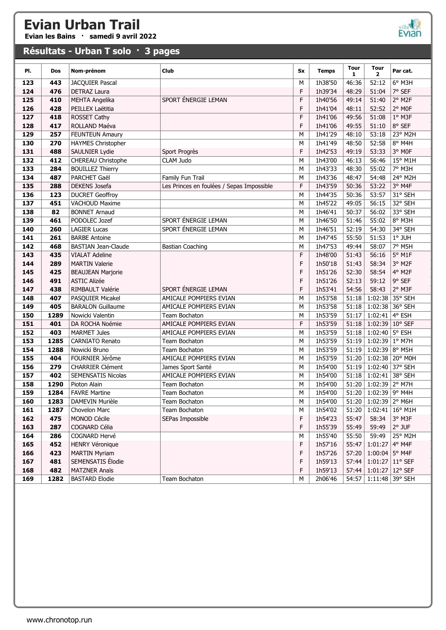Evian les Bains · samedi 9 avril 2022

# ville **Ville**

#### Résultats - Urban T solo · 3 pages

| PI.        | <b>Dos</b> | Nom-prénom                    | Club                                      | Sx      | <b>Temps</b>       | <b>Tour</b><br>$\mathbf{1}$ | <b>Tour</b><br>$\mathbf{2}$ | Par cat.                      |
|------------|------------|-------------------------------|-------------------------------------------|---------|--------------------|-----------------------------|-----------------------------|-------------------------------|
| 123        | 443        | JACQUIER Pascal               |                                           | M       | 1h38'50            | 46:36                       | 52:12                       | $6°$ M3H                      |
| 124        | 476        | DETRAZ Laura                  |                                           | F       | 1h39'34            | 48:29                       | 51:04                       | 7° SEF                        |
| 125        | 410        | <b>MEHTA Angelika</b>         | SPORT ÉNERGIE LEMAN                       | F       | 1h40'56            | 49:14                       | 51:40                       | 2° M2F                        |
| 126        | 428        | PEILLEX Laëtitia              |                                           | F       | 1h41'04            | 48:11                       | 52:52                       | 2° MOF                        |
| 127        | 418        | ROSSET Cathy                  |                                           | F       | 1h41'06            | 49:56                       | 51:08                       | 1° M3F                        |
| 128        | 417        | ROLLAND Maéva                 |                                           | F       | 1h41'06            | 49:55                       | 51:10                       | 8° SEF                        |
| 129        | 257        | <b>FEUNTEUN Amaury</b>        |                                           | М       | 1h41'29            | 48:10                       | 53:18                       | 23° M2H                       |
| 130        | 270        | <b>HAYMES Christopher</b>     |                                           | M       | 1h41'49            | 48:50                       | 52:58                       | 8° M4H                        |
| 131        | 488        | SAULNIER Lydie                | Sport Progrès                             | F       | 1h42'53            | 49:19                       | 53:33                       | 3° MOF                        |
| 132        | 412        | CHEREAU Christophe            | CLAM Judo                                 | M       | 1h43'00            | 46:13                       | 56:46                       | 15° M1H                       |
| 133        | 284        | <b>BOUILLEZ Thierry</b>       |                                           | M       | 1h43'33            | 48:30                       | 55:02                       | 7° M3H                        |
| 134        | 487        | PARCHET Gaël                  | Family Fun Trail                          | M       | 1h43'36            | 48:47                       | 54:48                       | 24° M2H                       |
| 135        | 288        | <b>DEKENS</b> Josefa          | Les Princes en foulées / Sepas Impossible | F       | 1h43'59            | 50:36                       | 53:22                       | 3° M4F                        |
| 136        | 123        | <b>DUCRET Geoffroy</b>        |                                           | M       | 1h44'35            | 50:36                       | 53:57                       | 31° SEH                       |
| 137        | 451        | VACHOUD Maxime                |                                           | M       | 1h45'22            | 49:05                       | 56:15                       | 32° SEH                       |
| 138        | 82         | <b>BONNET Arnaud</b>          |                                           | M       | 1h46'41            | 50:37                       | 56:02                       | 33° SEH                       |
| 139        | 461        | PODOLEC Jozef                 | SPORT ÉNERGIE LEMAN                       | M       | 1h46'50            | 51:46                       | 55:02                       | 8° M3H                        |
| 140        | 260        | <b>LAGIER Lucas</b>           | SPORT ÉNERGIE LEMAN                       | M       | 1h46'51            | 52:19                       | 54:30                       | 34° SEH                       |
| 141        | 261        | <b>BARBE Antoine</b>          |                                           | M       | 1h47'45            | 55:50                       | 51:53                       | 1° JUH                        |
| 142        | 468        | <b>BASTIAN Jean-Claude</b>    | <b>Bastian Coaching</b>                   | M       | 1h47'53            | 49:44                       | 58:07                       | 7° M5H                        |
| 143        | 435        | <b>VIALAT Adeline</b>         |                                           | F       | 1h48'00            | 51:43                       | 56:16                       | 5° M1F                        |
| 144        | 289        | <b>MARTIN Valerie</b>         |                                           | F       | 1h50'18            | 51:43                       | 58:34                       | 3° M2F                        |
| 145        | 425        | <b>BEAUJEAN Marjorie</b>      |                                           | F       | 1h51'26            | 52:30                       | 58:54                       | 4° M2F                        |
| 146        | 491        | <b>ASTIC Alizée</b>           |                                           | F       | 1h51'26            | 52:13                       | 59:12                       | 9° SEF                        |
| 147        | 438        | RIMBAULT Valérie              | SPORT ÉNERGIE LEMAN                       | F       | 1h53'41            | 54:56                       | 58:43                       | 2° M3F                        |
| 148        | 407        | PASQUIER Micakel              | AMICALE POMPIERS EVIAN                    | M       | 1h53'58            | 51:18                       |                             | 1:02:38 35° SEH               |
| 149        | 405        | <b>BARALON Guillaume</b>      | AMICALE POMPIERS EVIAN                    | M       | 1h53'58            | 51:18                       | 1:02:38 36° SEH             |                               |
| 150        | 1289       | Nowicki Valentin              | Team Bochaton                             | M       | 1h53'59            | 51:17                       | $1:02:41$ 4° ESH            |                               |
| 151        | 401        | DA ROCHA Noémie               | AMICALE POMPIERS EVIAN                    | F       | 1h53'59            | 51:18                       | 1:02:39 10° SEF             |                               |
| 152        | 403        | <b>MARMET Jules</b>           | AMICALE POMPIERS EVIAN                    | M       | 1h53'59            | 51:18                       | 1:02:40 5° ESH              |                               |
| 153        | 1285       | <b>CARNIATO Renato</b>        | Team Bochaton                             | M       | 1h53'59            | 51:19                       | 1:02:39 1° M7H              |                               |
| 154        | 1288       | Nowicki Bruno                 | Team Bochaton                             | M       | 1h53'59            | 51:19                       | 1:02:39 8° M5H              |                               |
| 155        | 404        | FOURNIER Jérôme               | AMICALE POMPIERS EVIAN                    | M       | 1h53'59            | 51:20                       |                             | 1:02:38 20° M0H               |
| 156        | 279        | <b>CHARRIER Clément</b>       | James Sport Santé                         | M       | 1h54'00            | 51:19                       | 1:02:40 37° SEH             |                               |
| 157        | 402        | <b>SEMENSATIS Nicolas</b>     | AMICALE POMPIERS EVIAN                    | M       | 1h54'00            | 51:18                       | $1:02:41$ 38° SEH           |                               |
| 158        | 1290       | Pioton Alain                  | Team Bochaton                             | М       | 1h54'00            |                             | 51:20 1:02:39 2° M7H        |                               |
| 159        | 1284       | <b>FAVRE Martine</b>          | Team Bochaton                             | $\sf M$ | 1h54'00            |                             | 51:20 1:02:39 9° M4H        |                               |
| 160        | 1283       | DAMEVIN Murièle               | Team Bochaton                             | М       | 1h54'00            |                             | 51:20   1:02:39   2° M6H    |                               |
| 161        | 1287       | Chovelon Marc                 | Team Bochaton                             | м       | 1h54'02            | 51:20                       |                             | $1:02:41 \mid 16^{\circ}$ M1H |
| 162<br>163 | 475<br>287 | MONOD Cécile<br>COGNARD Célia | SEPas Impossible                          | F<br>F  | 1h54'23<br>1h55'39 | 55:47<br>55:49              | 58:34<br>59:49              | 3° M3F<br>$2°$ JUF            |
| 164        | 286        | COGNARD Hervé                 |                                           | М       | 1h55'40            | 55:50                       | 59:49                       | 25° M2H                       |
| 165        | 452        | <b>HENRY Véronique</b>        |                                           | F       | 1h57'16            | 55:47                       | 1:01:27                     | 4° M4F                        |
| 166        | 423        | <b>MARTIN Myriam</b>          |                                           | F       | 1h57'26            | 57:20                       | $1:00:04$ 5° M4F            |                               |
| 167        | 481        | SEMENSATIS Élodie             |                                           | F       | 1h59'13            | 57:44                       | $1:01:27$ 11° SEF           |                               |
| 168        | 482        | <b>MATZNER Anaïs</b>          |                                           | F       | 1h59'13            | 57:44                       | $1:01:27$ 12° SEF           |                               |
| 169        | 1282       | <b>BASTARD Elodie</b>         | Team Bochaton                             | М       | 2h06'46            |                             | 54:57   1:11:48   39° SEH   |                               |
|            |            |                               |                                           |         |                    |                             |                             |                               |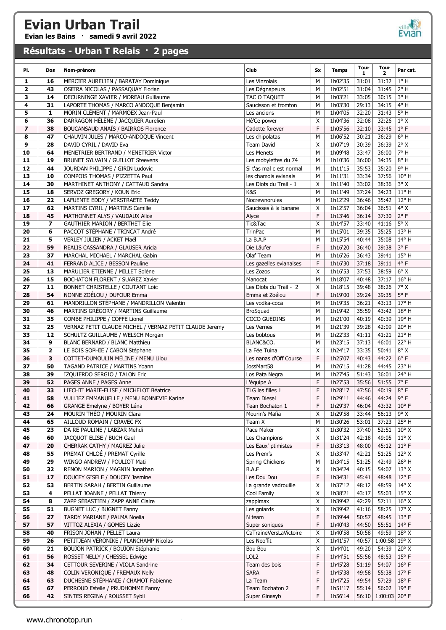Evian les Bains · samedi 9 avril 2022



#### Résultats - Urban T Relais · 2 pages

| PI.            | Dos                     | Nom-prénom                                                                  | Club                                             | Sx           | <b>Temps</b>       | <b>Tour</b><br>1 | <b>Tour</b><br>$\overline{2}$ | Par cat.                         |
|----------------|-------------------------|-----------------------------------------------------------------------------|--------------------------------------------------|--------------|--------------------|------------------|-------------------------------|----------------------------------|
| 1              | 16                      | MERCIER AURELIEN / BARATAY Dominique                                        | Les Vinzolais                                    | М            | 1h02'35            | 31:01            | 31:32                         | $1^\circ$ H                      |
| $\overline{2}$ | 43                      | OSEIRA NICOLAS / PASSAQUAY Florian                                          | Les Dégnapeurs                                   | М            | 1h02'51            | 31:04            | 31:45                         | $2°$ H                           |
| 3              | 14                      | DECURNINGE XAVIER / MOREAU Guillaume                                        | TAC O TAQUET                                     | М            | 1h03'21            | 33:05            | 30:15                         | $3°$ H                           |
| 4              | 31                      | LAPORTE THOMAS / MARCO ANDOQUE Benjamin                                     | Saucisson et fromton                             | М            | 1h03'30            | 29:13            | 34:15                         | 4°H                              |
| 5              | $\mathbf{1}$            | MORIN CLÉMENT / MARMOEX Jean-Paul                                           | Les anciens                                      | М            | 1h04'05            | 32:20            | 31:43                         | $5^{\circ}$ H                    |
| 6              | 36                      | DARRAGON HÉLÈNE / JACQUIER Aurelien                                         | Hé'Ce power                                      | X            | 1h04'36            | 32:08            | 32:26                         | $1^\circ$ X                      |
| 7              | 38                      | BOUCANSAUD ANAÏS / BAIRROS Florence                                         | Cadette forever                                  | F            | 1h05'56            | 32:10            | 33:45                         | $1^{\circ}$ F                    |
| 8              | 47                      | CHAUVIN JULES / MARCO-ANDOQUE Vincent                                       | Les chipolatas                                   | М            | 1h06'52            | 30:21            | 36:29                         | $6^{\circ}$ H                    |
| 9              | 28                      | DAVID CYRIL / DAVID Eva                                                     | Team David                                       | X            | 1h07'19            | 30:39            | 36:39                         | $2^{\circ}$ X                    |
| 10             | 64                      | MENETRIER BERTRAND / MENETRIER Victor                                       | Les Menets                                       | М            | 1h09'48            | 33:47            | 36:00                         | 7° H                             |
| 11             | 19                      | BRUNET SYLVAIN / GUILLOT Steevens                                           | Les mobylettes du 74                             | М            | 1h10'36            | 36:00            | 34:35<br>35:20                | $8^{\circ}$ H<br>9° H            |
| 12<br>13       | 44<br>10                | JOURDAN PHILIPPE / GIRIN Ludovic<br>COMPOIS THOMAS / PIZZETTA Paul          | Si t'as mal c est normal<br>les chamois evianais | М<br>М       | 1h11'15<br>1h11'31 | 35:53<br>33:34   | 37:56                         | $10^{\circ}$ H                   |
| 14             | 30                      | MARTHINET ANTHONY / CATTAUD Sandra                                          | Les Diots du Trail - 1                           | X            | 1h11'40            | 33:02            | 38:36                         | $3^{\circ}$ X                    |
| 15             | 18                      | SERVOZ GREGORY / KOUN Eric                                                  | K&S                                              | М            | 1h11'49            | 37:24            | 34:23                         | $11^{\circ}$ H                   |
| 16             | 22                      | LAFUENTE EDDY / VERSTRAETE Teddy                                            | Nocrewnorules                                    | М            | 1h12'29            | 36:46            | 35:42                         | 12° H                            |
| 17             | 62                      | MARTINS CYRIL / MARTINS Camille                                             | Saucisses à la banane                            | X            | 1h12'57            | 36:04            | 36:51                         | $4^{\circ}$ X                    |
| 18             | 45                      | MATHONNET ALYS / VAUDAUX Alice                                              | Alyce                                            | F            | 1h13'46            | 36:14            | 37:30                         | $2^{\circ}$ F                    |
| 19             | 7                       | <b>GAUTHIER MARION / BERTHET Elie</b>                                       | Tic&Tac                                          | X            | 1h14'57            | 33:40            | 41:16                         | $5^{\circ}$ X                    |
| 20             | 6                       | PACCOT STÉPHANE / TRINCAT André                                             | <b>TrinPac</b>                                   | M            | 1h15'01            | 39:35            | 35:25                         | 13° H                            |
| 21             | 5                       | VERLEY JULIEN / ACKET Maël                                                  | La B.A.P                                         | М            | 1h15'54            | 40:44            | 35:08                         | 14° H                            |
| 22             | 59                      | REALIS CASSANDRA / GLAUSER Aricia                                           | Die Läufer                                       | $\mathsf{F}$ | 1h16'20            | 36:40            | 39:38                         | $3^{\circ}$ F                    |
| 23             | 37                      | MARCHAL MICHAEL / MARCHAL Gabin                                             | Olaf Team                                        | М            | 1h16'26            | 36:43            | 39:41                         | 15° H                            |
| 24             | 41                      | FERRAND ALICE / BESSON Pauline                                              | Les gazelles evianaises                          | F            | 1h16'30            | 37:18            | 39:11                         | $4^{\circ}$ F                    |
| 25<br>26       | 13<br>15                | MARULIER ETIENNE / MILLET Solène<br><b>BOCHATON FLORENT / SUAREZ Xavier</b> | Les Zozos<br>Manocat                             | X<br>М       | 1h16'53<br>1h18'07 | 37:53<br>40:48   | 38:59<br>37:17                | $6^{\circ}$ X<br>$16^{\circ}$ H  |
| 27             | 11                      | BONNET CHRISTELLE / COUTANT Loic                                            | Les Diots du Trail - 2                           | X            | 1h18'15            | 39:48            | 38:26                         | $7^\circ$ X                      |
| 28             | 54                      | NONNE ZOÉLOU / DUFOUR Emma                                                  | Emma et Zoélou                                   | F            | 1h19'00            | 39:24            | 39:35                         | $5^{\circ}$ F                    |
| 29             | 61                      | MANDRILLON STÉPHANE / MANDRILLON Valentin                                   | Les vodka-coca                                   | М            | 1h19'35            | 36:21            | 43:13                         | 17° H                            |
| 30             | 46                      | MARTINS GRÉGORY / MARTINS Guillaume                                         | BroSquad                                         | М            | 1h19'42            | 35:59            | 43:42                         | 18° H                            |
| 31             | 35                      | COMBE PHILIPPE / COFFE Lionel                                               | COCO GUEDINS                                     | М            | 1h21'00            | 40:19            | 40:39                         | 19°H                             |
| 32             | 25                      | VERNAZ PETIT CLAUDE MICHEL / VERNAZ PETIT CLAUDE Jeremy                     | Les Vernes                                       | М            | 1h21'39            | 39:28            | 42:09                         | 20° H                            |
| 33             | 12                      | SCHULTZ GUILLAUME / WELSCH Morgan                                           | Les bobtous                                      | М            | 1h22'33            | 41:11            | 41:21                         | 21° H                            |
| 34             | 9                       | BLANC BERNARD / BLANC Matthieu                                              | BLANC&CO.                                        | М            | 1h23'15            | 37:13            | 46:01                         | 22° H                            |
| 35             | $\overline{\mathbf{2}}$ | LE BOIS SOPHIE / CABON Stéphane                                             | La Fée Tuina                                     | X            | 1h24'17            | 33:35            | 50:41                         | $8^{\circ}$ X                    |
| 36             | 3                       | COTTET-DUMOULIN MÉLINE / MENU Lilou                                         | Les nanas d'Off Course                           | F            | 1h25'07            | 40:43            | 44:22                         | $6^{\circ}$ F                    |
| 37             | 50                      | TAGAND PATRICE / MARTINS Yoann                                              | JossMart58                                       | М            | 1h26'15            | 41:28            | 44:45                         | 23° H                            |
| 38<br>39       | 39<br>52                | IZQUIERDO SERGIO / TALON Eric<br>PAGES ANNE / PAGES Anne                    | Los Pata Negra                                   | М<br>F       | 1h27'45<br>1h27'53 | 51:43<br>35:56   | 36:01<br>51:55                | 24° H<br>7° F                    |
| 40             | 33                      | LIECHTI MARIE-ELISE / MICHELOT Béatrice                                     | L'équipe A<br>TLG les filles 1                   | F            | 1h28'17            | 47:56            | 40:19                         | $8°$ F                           |
| 41             | 58                      | VULLIEZ EMMANUELLE / MENU BONNEVIE Karine                                   | Team Diesel                                      | F            | 1h29'11            | 44:46            | 44:24 9°F                     |                                  |
| 42             | 66                      | GRANGE Emelyne / BOYER Léna                                                 | Tean Bochaton 1                                  | F            | 1h29'37            | 46:04            | 43:32                         | $10^{\circ}$ F                   |
| 43             | 24                      | MOURIN THÉO / MOURIN Clara                                                  | Mourin's Mafia                                   | X            | 1h29'58            | 33:44            | 56:13                         | 9° X                             |
| 44             | 65                      | AILLOUD ROMAIN / CRAVEC FX                                                  | Team X                                           | М            | 1h30'26            | 53:01            | 37:23                         | 25° H                            |
| 45             | 23                      | DA RE PAULINE / LABZAR Mehdi                                                | Pace Maker                                       | X            | 1h30'32            | 37:40            | 52:51                         | $10^{\circ}$ X                   |
| 46             | 60                      | JACQUOT ELISE / BUCH Gael                                                   | Les Champions                                    | X            | 1h31'24            | 42:18            | 49:05                         | $11^{\circ}$ X                   |
| 47             | 20                      | CHERRAK CATHY / MAGREZ Julie                                                | Les Eaux' ptimistes                              | F            | 1h33'13            | 48:00            | 45:12                         | $11^{\circ}$ F                   |
| 48             | 55                      | PREMAT CHLOÉ / PREMAT Cyrille                                               | Les Prem's                                       | X            | 1h33'47            | 42:21            | 51:25                         | $12^{\circ}$ X                   |
| 49             | 29                      | WINGO ANDREW / POULIOT Mati                                                 | Spring Chickens                                  | М            | 1h34'15            | 51:25            | 42:49                         | 26° H                            |
| 50<br>51       | 32<br>17                | RENON MARION / MAGNIN Jonathan<br>DOUCEY GISELE / DOUCEY Jasmine            | B.A.F<br>Les Dou Dou                             | Х<br>F       | 1h34'24<br>1h34'31 | 40:15<br>45:41   | 54:07<br>48:48                | $13^{\circ}$ X<br>$12^{\circ}$ F |
| 52             | 53                      | BERTIN SARAH / BERTIN Guillaume                                             | La grande vadrouille                             | X            | 1h37'12            | 48:12            | 48:59                         | $14^{\circ}$ X                   |
| 53             | 4                       | PELLAT JOANNE / PELLAT Thierry                                              | Cool Family                                      | X            | 1h38'21            | 43:17            | 55:03                         | $15^{\circ}$ X                   |
| 54             | 8                       | ZAPP SÉBASTIEN / ZAPP ANNE Claire                                           | zappimax                                         | X            | 1h39'42            | 42:29            | 57:11                         | $16^{\circ}$ X                   |
| 55             | 51                      | BUGNET LUC / BUGNET Fanny                                                   | Les gniards                                      | X            | 1h39'42            | 41:16            | 58:25                         | $17^{\circ}$ X                   |
| 56             | 27                      | TARDY MARIANE / PALMA Noelia                                                | N team                                           | F            | 1h39'44            | 50:57            | 48:45                         | $13^{\circ}$ F                   |
| 57             | 57                      | VITTOZ ALEXIA / GOMES Lizzie                                                | Super soniques                                   | F            | 1h40'43            | 44:50            | 55:51                         | 14°F                             |
| 58             | 40                      | FRISON JOHAN / PELLET Laura                                                 | CaTraineVersLaVictoire                           | X            | 1h40'58            | 50:58            | 49:59                         | $18^{\circ}$ X                   |
| 59             | 26                      | PETITJEAN VÉRONIKE / PLANCHAMP Nicolas                                      | Les Neo'fit                                      | X            | 1h41'57            | 40:57            | $1:00:58$ 19° X               |                                  |
| 60             | 21                      | BOUJON PATRICK / BOUJON Stéphanie                                           | Bou Bou                                          | X            | 1h44'01            | 49:20            | 54:39                         | $20^{\circ}$ X                   |
| 61             | 56                      | ROSSET NELLY / CHESSEL Edwige                                               | LOL2                                             | F            | 1h44'51            | 55:56            | 48:53                         | $15^{\circ}$ F                   |
| 62             | 34                      | CETTOUR SEVERINE / VIOLA Sandrine                                           | Team des bois                                    | F            | 1h45'28            | 51:19            | 54:07                         | $16^{\circ}$ F                   |
| 63             | 48                      | COLIN VERONIQUE / FREMAUX Nelly                                             | <b>SARA</b>                                      | F            | 1h45'38            | 49:58            | 55:38                         | $17^{\circ}$ F<br>$18^{\circ}$ F |
| 64<br>65       | 63<br>67                | DUCHESNE STÉPHANIE / CHAMOT Fabienne<br>PERROUD Estelle / PRUDHOMME Fanny   | La Team<br>Team Bochaton 2                       | F<br>F       | 1h47'25<br>1h51'17 | 49:54<br>55:14   | 57:29<br>56:02                | 19° F                            |
| 66             | 42                      | SINTES REGINA / ROUSSET Sybil                                               | Super Ginasyb                                    | F            | 1h56'14            | 56:10            | $1:00:03$ 20° F               |                                  |
|                |                         |                                                                             |                                                  |              |                    |                  |                               |                                  |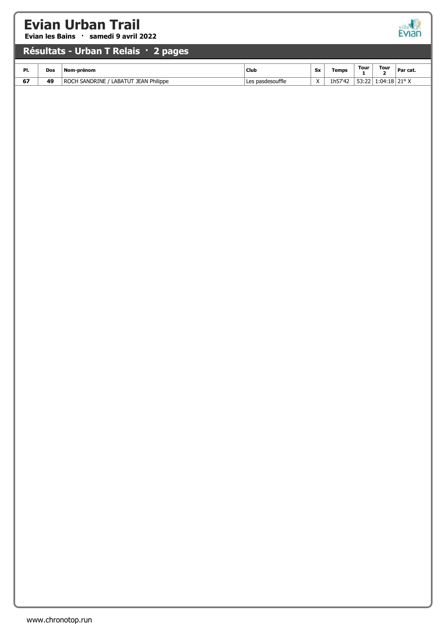Evian les Bains · samedi 9 avril 2022



#### Résultats - Urban T Relais · 2 pages

| PI. | Dos | Nom-prénom                                         | Club                     |                        | <b>Temps</b> | <b>Tour</b><br>$ -$ | <b>Tour</b> | ' Par cat. |
|-----|-----|----------------------------------------------------|--------------------------|------------------------|--------------|---------------------|-------------|------------|
| 67  | 49  | <b>JEAN Philippe</b><br>ABAT<br>NDRINE<br>D1<br>ΔN | <b>pasdesouffle</b><br>ᇅ | $\lambda$<br>$\lambda$ | 1µ2\<br>. .  | --<br>JJ.L.         | ∣∙∩4<br>.   | 210V       |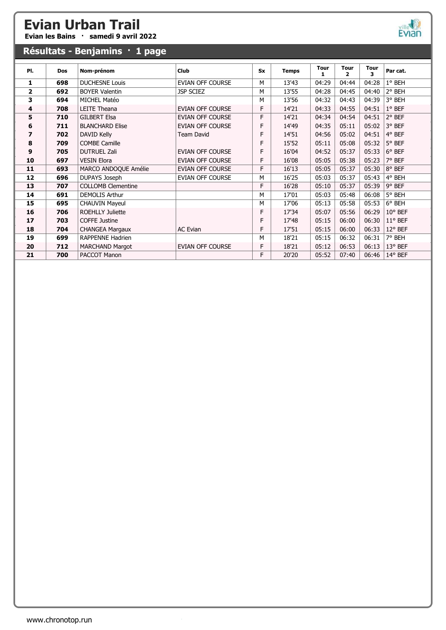Evian les Bains · samedi 9 avril 2022

# ville

| Résultats - Benjamins · 1 page |            |                           |                         |           |              |           |           |                  |                  |
|--------------------------------|------------|---------------------------|-------------------------|-----------|--------------|-----------|-----------|------------------|------------------|
| PI.                            | <b>Dos</b> | Nom-prénom                | Club                    | <b>Sx</b> | <b>Temps</b> | Tour<br>1 | Tour<br>2 | <b>Tour</b><br>3 | Par cat.         |
| 1                              | 698        | <b>DUCHESNE Louis</b>     | EVIAN OFF COURSE        | м         | 13'43        | 04:29     | 04:44     | 04:28            | 1° BEH           |
| $\overline{2}$                 | 692        | <b>BOYER Valentin</b>     | JSP SCIEZ               | м         | 13'55        | 04:28     | 04:45     | 04:40            | 2° BEH           |
| 3                              | 694        | MICHEL Matéo              |                         | M         | 13'56        | 04:32     | 04:43     | 04:39            | 3° BEH           |
| 4                              | 708        | LEITE Theana              | EVIAN OFF COURSE        | F         | 14'21        | 04:33     | 04:55     | 04:51            | $1^\circ$ BEF    |
| 5                              | 710        | <b>GILBERT Elsa</b>       | EVIAN OFF COURSE        | F         | 14'21        | 04:34     | 04:54     | 04:51            | 2° BEF           |
| 6                              | 711        | <b>BLANCHARD Elise</b>    | <b>EVIAN OFF COURSE</b> | F         | 14'49        | 04:35     | 05:11     | 05:02            | 3° BEF           |
| 7                              | 702        | DAVID Kelly               | Team David              | F         | 14'51        | 04:56     | 05:02     | 04:51            | 4° BEF           |
| 8                              | 709        | <b>COMBE Camille</b>      |                         | F         | 15'52        | 05:11     | 05:08     | 05:32            | 5° BEF           |
| 9                              | 705        | <b>DUTRUEL Zali</b>       | EVIAN OFF COURSE        | F         | 16'04        | 04:52     | 05:37     | 05:33            | $6^{\circ}$ BEF  |
| 10                             | 697        | <b>VESIN Elora</b>        | EVIAN OFF COURSE        | F         | 16'08        | 05:05     | 05:38     | 05:23            | 7° BEF           |
| 11                             | 693        | MARCO ANDOQUE Amélie      | EVIAN OFF COURSE        | F         | 16'13        | 05:05     | 05:37     | 05:30            | 8° BEF           |
| 12                             | 696        | <b>DUPAYS Joseph</b>      | EVIAN OFF COURSE        | м         | 16'25        | 05:03     | 05:37     | 05:43            | 4° BEH           |
| 13                             | 707        | <b>COLLOMB Clementine</b> |                         | F         | 16'28        | 05:10     | 05:37     | 05:39            | 9° BEF           |
| 14                             | 691        | <b>DEMOLIS Arthur</b>     |                         | м         | 17'01        | 05:03     | 05:48     | 06:08            | 5° BEH           |
| 15                             | 695        | <b>CHAUVIN Mayeul</b>     |                         | м         | 17'06        | 05:13     | 05:58     | 05:53            | 6° BEH           |
| 16                             | 706        | <b>ROEHLLY Juliette</b>   |                         | F         | 17'34        | 05:07     | 05:56     | 06:29            | 10° BEF          |
| 17                             | 703        | <b>COFFE Justine</b>      |                         | F         | 17'48        | 05:15     | 06:00     | 06:30            | $11^{\circ}$ BEF |
| 18                             | 704        | <b>CHANGEA Margaux</b>    | <b>AC Evian</b>         | F         | 17'51        | 05:15     | 06:00     | 06:33            | $12^{\circ}$ BEF |
| 19                             | 699        | RAPPENNE Hadrien          |                         | М         | 18'21        | 05:15     | 06:32     | 06:31            | 7° BEH           |
| 20                             | 712        | <b>MARCHAND Margot</b>    | EVIAN OFF COURSE        | F         | 18'21        | 05:12     | 06:53     | 06:13            | 13° BEF          |
| 21                             | 700        | PACCOT Manon              |                         | F         | 20'20        | 05:52     | 07:40     | 06:46            | $14^{\circ}$ BEF |